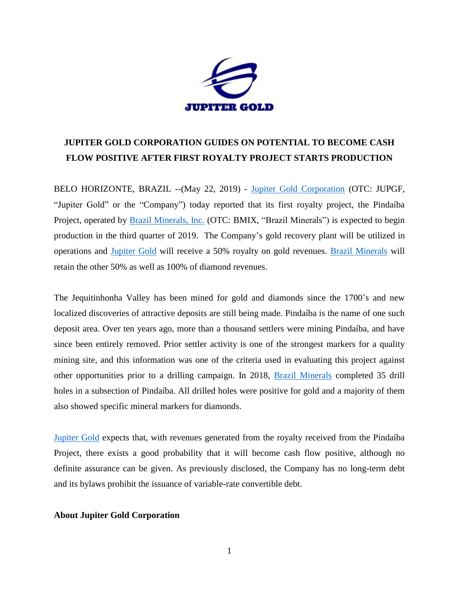

## **JUPITER GOLD CORPORATION GUIDES ON POTENTIAL TO BECOME CASH FLOW POSITIVE AFTER FIRST ROYALTY PROJECT STARTS PRODUCTION**

BELO HORIZONTE, BRAZIL --(May 22, 2019) - [Jupiter Gold Corporation](http://www.jupitergoldcorp.com/) (OTC: JUPGF, "Jupiter Gold" or the "Company") today reported that its first royalty project, the Pindaíba Project, operated by [Brazil Minerals, Inc.](http://www.brazil-minerals.com/) (OTC: BMIX, "Brazil Minerals") is expected to begin production in the third quarter of 2019. The Company's gold recovery plant will be utilized in operations and [Jupiter Gold](http://www.jupitergoldcorp.com/) will receive a 50% royalty on gold revenues. [Brazil Minerals](http://www.brazil-minerals.com/) will retain the other 50% as well as 100% of diamond revenues.

The Jequitinhonha Valley has been mined for gold and diamonds since the 1700's and new localized discoveries of attractive deposits are still being made. Pindaíba is the name of one such deposit area. Over ten years ago, more than a thousand settlers were mining Pindaíba, and have since been entirely removed. Prior settler activity is one of the strongest markers for a quality mining site, and this information was one of the criteria used in evaluating this project against other opportunities prior to a drilling campaign. In 2018, [Brazil Minerals](http://www.brazil-minerals.com/) completed 35 drill holes in a subsection of Pindaíba. All drilled holes were positive for gold and a majority of them also showed specific mineral markers for diamonds.

[Jupiter Gold](http://www.jupitergoldcorp.com/) expects that, with revenues generated from the royalty received from the Pindaíba Project, there exists a good probability that it will become cash flow positive, although no definite assurance can be given. As previously disclosed, the Company has no long-term debt and its bylaws prohibit the issuance of variable-rate convertible debt.

## **About Jupiter Gold Corporation**

1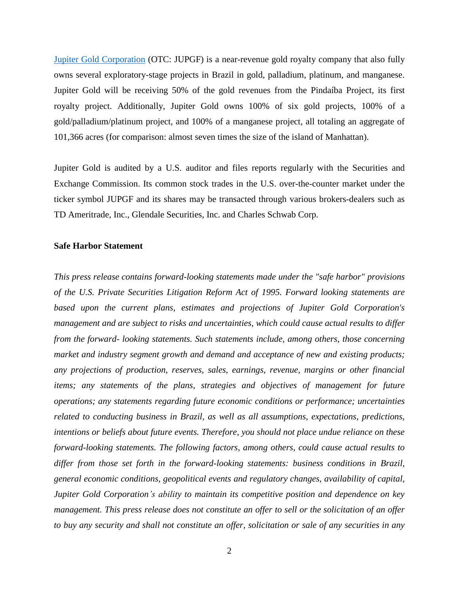[Jupiter Gold Corporation](http://www.jupitergoldcorp.com/) (OTC: JUPGF) is a near-revenue gold royalty company that also fully owns several exploratory-stage projects in Brazil in gold, palladium, platinum, and manganese. Jupiter Gold will be receiving 50% of the gold revenues from the Pindaíba Project, its first royalty project. Additionally, Jupiter Gold owns 100% of six gold projects, 100% of a gold/palladium/platinum project, and 100% of a manganese project, all totaling an aggregate of 101,366 acres (for comparison: almost seven times the size of the island of Manhattan).

Jupiter Gold is audited by a U.S. auditor and files reports regularly with the Securities and Exchange Commission. Its common stock trades in the U.S. over-the-counter market under the ticker symbol JUPGF and its shares may be transacted through various brokers-dealers such as TD Ameritrade, Inc., Glendale Securities, Inc. and Charles Schwab Corp.

## **Safe Harbor Statement**

*This press release contains forward-looking statements made under the "safe harbor" provisions of the U.S. Private Securities Litigation Reform Act of 1995. Forward looking statements are based upon the current plans, estimates and projections of Jupiter Gold Corporation's management and are subject to risks and uncertainties, which could cause actual results to differ from the forward- looking statements. Such statements include, among others, those concerning market and industry segment growth and demand and acceptance of new and existing products; any projections of production, reserves, sales, earnings, revenue, margins or other financial items; any statements of the plans, strategies and objectives of management for future operations; any statements regarding future economic conditions or performance; uncertainties related to conducting business in Brazil, as well as all assumptions, expectations, predictions, intentions or beliefs about future events. Therefore, you should not place undue reliance on these forward-looking statements. The following factors, among others, could cause actual results to differ from those set forth in the forward-looking statements: business conditions in Brazil, general economic conditions, geopolitical events and regulatory changes, availability of capital, Jupiter Gold Corporation's ability to maintain its competitive position and dependence on key management. This press release does not constitute an offer to sell or the solicitation of an offer to buy any security and shall not constitute an offer, solicitation or sale of any securities in any*